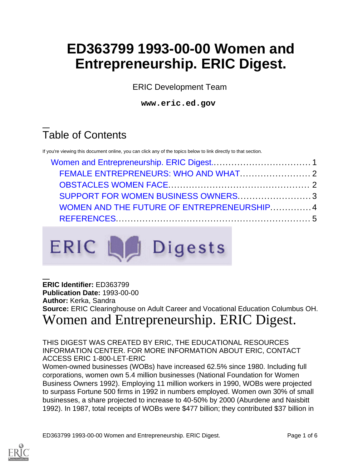# **ED363799 1993-00-00 Women and Entrepreneurship. ERIC Digest.**

ERIC Development Team

**www.eric.ed.gov**

# Table of Contents

If you're viewing this document online, you can click any of the topics below to link directly to that section.

| SUPPORT FOR WOMEN BUSINESS OWNERS3         |  |
|--------------------------------------------|--|
| WOMEN AND THE FUTURE OF ENTREPRENEURSHIP 4 |  |
|                                            |  |



#### **ERIC Identifier:** ED363799 **Publication Date:** 1993-00-00 **Author:** Kerka, Sandra **Source:** ERIC Clearinghouse on Adult Career and Vocational Education Columbus OH. Women and Entrepreneurship. ERIC Digest.

<span id="page-0-0"></span>THIS DIGEST WAS CREATED BY ERIC, THE EDUCATIONAL RESOURCES INFORMATION CENTER. FOR MORE INFORMATION ABOUT ERIC, CONTACT ACCESS ERIC 1-800-LET-ERIC

Women-owned businesses (WOBs) have increased 62.5% since 1980. Including full corporations, women own 5.4 million businesses (National Foundation for Women Business Owners 1992). Employing 11 million workers in 1990, WOBs were projected to surpass Fortune 500 firms in 1992 in numbers employed. Women own 30% of small businesses, a share projected to increase to 40-50% by 2000 (Aburdene and Naisbitt 1992). In 1987, total receipts of WOBs were \$477 billion; they contributed \$37 billion in

ED363799 1993-00-00 Women and Entrepreneurship. ERIC Digest. Page 1 of 6

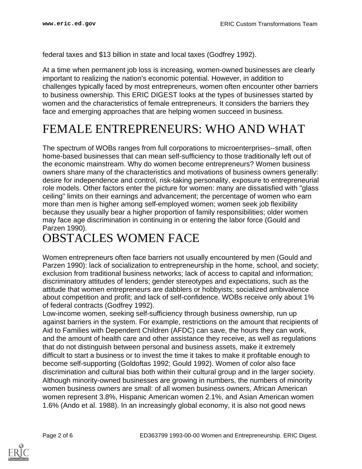federal taxes and \$13 billion in state and local taxes (Godfrey 1992).

At a time when permanent job loss is increasing, women-owned businesses are clearly important to realizing the nation's economic potential. However, in addition to challenges typically faced by most entrepreneurs, women often encounter other barriers to business ownership. This ERIC DIGEST looks at the types of businesses started by women and the characteristics of female entrepreneurs. It considers the barriers they face and emerging approaches that are helping women succeed in business.

## <span id="page-1-0"></span>FEMALE ENTREPRENEURS: WHO AND WHAT

The spectrum of WOBs ranges from full corporations to microenterprises--small, often home-based businesses that can mean self-sufficiency to those traditionally left out of the economic mainstream. Why do women become entrepreneurs? Women business owners share many of the characteristics and motivations of business owners generally: desire for independence and control, risk-taking personality, exposure to entrepreneurial role models. Other factors enter the picture for women: many are dissatisfied with "glass ceiling" limits on their earnings and advancement; the percentage of women who earn more than men is higher among self-employed women; women seek job flexibility because they usually bear a higher proportion of family responsibilities; older women may face age discrimination in continuing in or entering the labor force (Gould and Parzen 1990).

### <span id="page-1-1"></span>OBSTACLES WOMEN FACE

Women entrepreneurs often face barriers not usually encountered by men (Gould and Parzen 1990): lack of socialization to entrepreneurship in the home, school, and society; exclusion from traditional business networks; lack of access to capital and information; discriminatory attitudes of lenders; gender stereotypes and expectations, such as the attitude that women entrepreneurs are dabblers or hobbyists; socialized ambivalence about competition and profit; and lack of self-confidence. WOBs receive only about 1% of federal contracts (Godfrey 1992).

Low-income women, seeking self-sufficiency through business ownership, run up against barriers in the system. For example, restrictions on the amount that recipients of Aid to Families with Dependent Children (AFDC) can save, the hours they can work, and the amount of health care and other assistance they receive, as well as regulations that do not distinguish between personal and business assets, make it extremely difficult to start a business or to invest the time it takes to make it profitable enough to become self-supporting (Goldoftas 1992; Gould 1992). Women of color also face discrimination and cultural bias both within their cultural group and in the larger society. Although minority-owned businesses are growing in numbers, the numbers of minority women business owners are small: of all women business owners, African American women represent 3.8%, Hispanic American women 2.1%, and Asian American women 1.6% (Ando et al. 1988). In an increasingly global economy, it is also not good news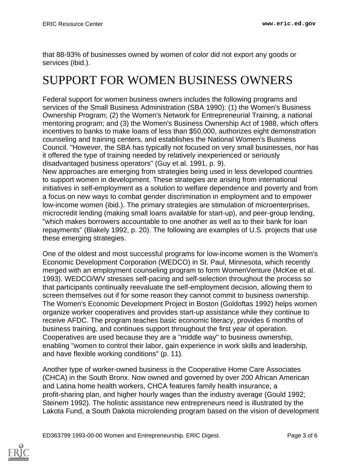that 88-93% of businesses owned by women of color did not export any goods or services (ibid.).

## <span id="page-2-0"></span>SUPPORT FOR WOMEN BUSINESS OWNERS

Federal support for women business owners includes the following programs and services of the Small Business Administration (SBA 1990): (1) the Women's Business Ownership Program; (2) the Women's Network for Entrepreneurial Training, a national mentoring program; and (3) the Women's Business Ownership Act of 1988, which offers incentives to banks to make loans of less than \$50,000, authorizes eight demonstration counseling and training centers, and establishes the National Women's Business Council. "However, the SBA has typically not focused on very small businesses, nor has it offered the type of training needed by relatively inexperienced or seriously disadvantaged business operators" (Guy et al. 1991, p. 9).

New approaches are emerging from strategies being used in less developed countries to support women in development. These strategies are arising from international initiatives in self-employment as a solution to welfare dependence and poverty and from a focus on new ways to combat gender discrimination in employment and to empower low-income women (ibid.). The primary strategies are stimulation of microenterprises, microcredit lending (making small loans available for start-up), and peer-group lending, "which makes borrowers accountable to one another as well as to their bank for loan repayments" (Blakely 1992, p. 20). The following are examples of U.S. projects that use these emerging strategies.

One of the oldest and most successful programs for low-income women is the Women's Economic Development Corporation (WEDCO) in St. Paul, Minnesota, which recently merged with an employment counseling program to form WomenVenture (McKee et al. 1993). WEDCO/WV stresses self-pacing and self-selection throughout the process so that participants continually reevaluate the self-employment decision, allowing them to screen themselves out if for some reason they cannot commit to business ownership. The Women's Economic Development Project in Boston (Goldoftas 1992) helps women organize worker cooperatives and provides start-up assistance while they continue to receive AFDC. The program teaches basic economic literacy, provides 6 months of business training, and continues support throughout the first year of operation. Cooperatives are used because they are a "middle way" to business ownership, enabling "women to control their labor, gain experience in work skills and leadership, and have flexible working conditions" (p. 11).

Another type of worker-owned business is the Cooperative Home Care Associates (CHCA) in the South Bronx. Now owned and governed by over 200 African American and Latina home health workers, CHCA features family health insurance, a profit-sharing plan, and higher hourly wages than the industry average (Gould 1992; Steinem 1992). The holistic assistance new entrepreneurs need is illustrated by the Lakota Fund, a South Dakota microlending program based on the vision of development

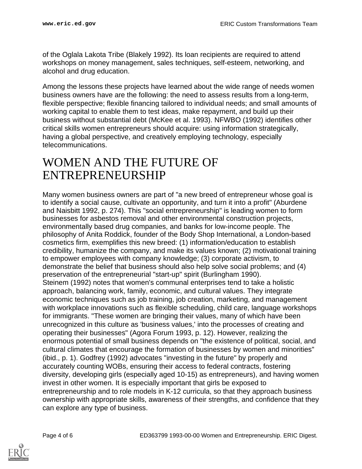of the Oglala Lakota Tribe (Blakely 1992). Its loan recipients are required to attend workshops on money management, sales techniques, self-esteem, networking, and alcohol and drug education.

Among the lessons these projects have learned about the wide range of needs women business owners have are the following: the need to assess results from a long-term, flexible perspective; flexible financing tailored to individual needs; and small amounts of working capital to enable them to test ideas, make repayment, and build up their business without substantial debt (McKee et al. 1993). NFWBO (1992) identifies other critical skills women entrepreneurs should acquire: using information strategically, having a global perspective, and creatively employing technology, especially telecommunications.

#### <span id="page-3-0"></span>WOMEN AND THE FUTURE OF ENTREPRENEURSHIP

Many women business owners are part of "a new breed of entrepreneur whose goal is to identify a social cause, cultivate an opportunity, and turn it into a profit" (Aburdene and Naisbitt 1992, p. 274). This "social entrepreneurship" is leading women to form businesses for asbestos removal and other environmental construction projects, environmentally based drug companies, and banks for low-income people. The philosophy of Anita Roddick, founder of the Body Shop International, a London-based cosmetics firm, exemplifies this new breed: (1) information/education to establish credibility, humanize the company, and make its values known; (2) motivational training to empower employees with company knowledge; (3) corporate activism, to demonstrate the belief that business should also help solve social problems; and (4) preservation of the entrepreneurial "start-up" spirit (Burlingham 1990). Steinem (1992) notes that women's communal enterprises tend to take a holistic approach, balancing work, family, economic, and cultural values. They integrate economic techniques such as job training, job creation, marketing, and management with workplace innovations such as flexible scheduling, child care, language workshops for immigrants. "These women are bringing their values, many of which have been unrecognized in this culture as 'business values,' into the processes of creating and operating their businesses" (Agora Forum 1993, p. 12). However, realizing the enormous potential of small business depends on "the existence of political, social, and cultural climates that encourage the formation of businesses by women and minorities" (ibid., p. 1). Godfrey (1992) advocates "investing in the future" by properly and accurately counting WOBs, ensuring their access to federal contracts, fostering diversity, developing girls (especially aged 10-15) as entrepreneurs), and having women invest in other women. It is especially important that girls be exposed to entrepreneurship and to role models in K-12 curricula, so that they approach business ownership with appropriate skills, awareness of their strengths, and confidence that they can explore any type of business.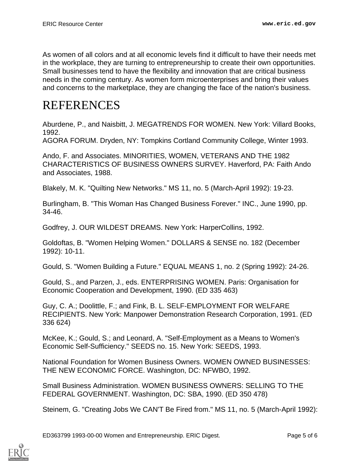As women of all colors and at all economic levels find it difficult to have their needs met in the workplace, they are turning to entrepreneurship to create their own opportunities. Small businesses tend to have the flexibility and innovation that are critical business needs in the coming century. As women form microenterprises and bring their values and concerns to the marketplace, they are changing the face of the nation's business.

#### <span id="page-4-0"></span>REFERENCES

Aburdene, P., and Naisbitt, J. MEGATRENDS FOR WOMEN. New York: Villard Books, 1992.

AGORA FORUM. Dryden, NY: Tompkins Cortland Community College, Winter 1993.

Ando, F. and Associates. MINORITIES, WOMEN, VETERANS AND THE 1982 CHARACTERISTICS OF BUSINESS OWNERS SURVEY. Haverford, PA: Faith Ando and Associates, 1988.

Blakely, M. K. "Quilting New Networks." MS 11, no. 5 (March-April 1992): 19-23.

Burlingham, B. "This Woman Has Changed Business Forever." INC., June 1990, pp. 34-46.

Godfrey, J. OUR WILDEST DREAMS. New York: HarperCollins, 1992.

Goldoftas, B. "Women Helping Women." DOLLARS & SENSE no. 182 (December 1992): 10-11.

Gould, S. "Women Building a Future." EQUAL MEANS 1, no. 2 (Spring 1992): 24-26.

Gould, S., and Parzen, J., eds. ENTERPRISING WOMEN. Paris: Organisation for Economic Cooperation and Development, 1990. (ED 335 463)

Guy, C. A.; Doolittle, F.; and Fink, B. L. SELF-EMPLOYMENT FOR WELFARE RECIPIENTS. New York: Manpower Demonstration Research Corporation, 1991. (ED 336 624)

McKee, K.; Gould, S.; and Leonard, A. "Self-Employment as a Means to Women's Economic Self-Sufficiency." SEEDS no. 15. New York: SEEDS, 1993.

National Foundation for Women Business Owners. WOMEN OWNED BUSINESSES: THE NEW ECONOMIC FORCE. Washington, DC: NFWBO, 1992.

Small Business Administration. WOMEN BUSINESS OWNERS: SELLING TO THE FEDERAL GOVERNMENT. Washington, DC: SBA, 1990. (ED 350 478)

Steinem, G. "Creating Jobs We CAN'T Be Fired from." MS 11, no. 5 (March-April 1992):